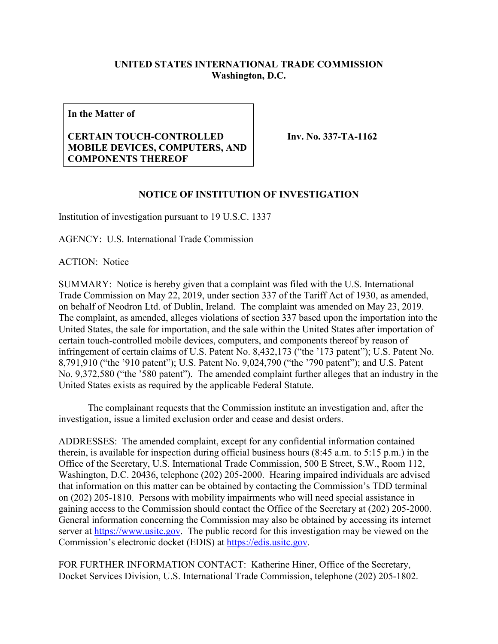## **UNITED STATES INTERNATIONAL TRADE COMMISSION Washington, D.C.**

**In the Matter of**

## **CERTAIN TOUCH-CONTROLLED MOBILE DEVICES, COMPUTERS, AND COMPONENTS THEREOF**

**Inv. No. 337-TA-1162**

## **NOTICE OF INSTITUTION OF INVESTIGATION**

Institution of investigation pursuant to 19 U.S.C. 1337

AGENCY: U.S. International Trade Commission

ACTION: Notice

SUMMARY: Notice is hereby given that a complaint was filed with the U.S. International Trade Commission on May 22, 2019, under section 337 of the Tariff Act of 1930, as amended, on behalf of Neodron Ltd. of Dublin, Ireland. The complaint was amended on May 23, 2019. The complaint, as amended, alleges violations of section 337 based upon the importation into the United States, the sale for importation, and the sale within the United States after importation of certain touch-controlled mobile devices, computers, and components thereof by reason of infringement of certain claims of U.S. Patent No. 8,432,173 ("the '173 patent"); U.S. Patent No. 8,791,910 ("the '910 patent"); U.S. Patent No. 9,024,790 ("the '790 patent"); and U.S. Patent No. 9,372,580 ("the '580 patent"). The amended complaint further alleges that an industry in the United States exists as required by the applicable Federal Statute.

The complainant requests that the Commission institute an investigation and, after the investigation, issue a limited exclusion order and cease and desist orders.

ADDRESSES: The amended complaint, except for any confidential information contained therein, is available for inspection during official business hours (8:45 a.m. to 5:15 p.m.) in the Office of the Secretary, U.S. International Trade Commission, 500 E Street, S.W., Room 112, Washington, D.C. 20436, telephone (202) 205-2000. Hearing impaired individuals are advised that information on this matter can be obtained by contacting the Commission's TDD terminal on (202) 205-1810. Persons with mobility impairments who will need special assistance in gaining access to the Commission should contact the Office of the Secretary at (202) 205-2000. General information concerning the Commission may also be obtained by accessing its internet server at [https://www.usitc.gov.](https://www.usitc.gov/) The public record for this investigation may be viewed on the Commission's electronic docket (EDIS) at [https://edis.usitc.gov.](https://edis.usitc.gov/)

FOR FURTHER INFORMATION CONTACT: Katherine Hiner, Office of the Secretary, Docket Services Division, U.S. International Trade Commission, telephone (202) 205-1802.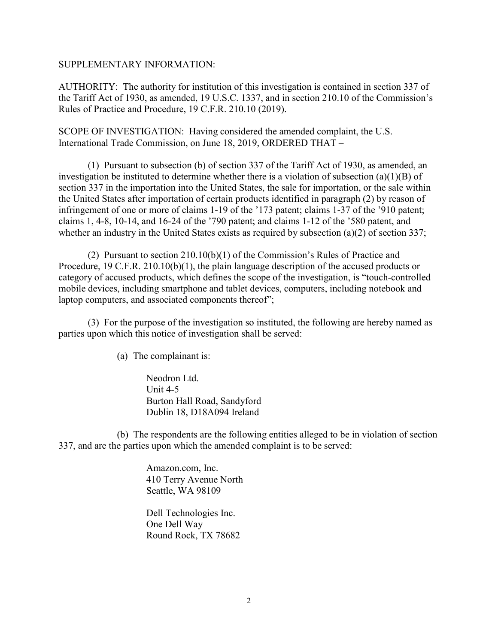## SUPPLEMENTARY INFORMATION:

AUTHORITY: The authority for institution of this investigation is contained in section 337 of the Tariff Act of 1930, as amended, 19 U.S.C. 1337, and in section 210.10 of the Commission's Rules of Practice and Procedure, 19 C.F.R. 210.10 (2019).

SCOPE OF INVESTIGATION: Having considered the amended complaint, the U.S. International Trade Commission, on June 18, 2019, ORDERED THAT –

(1) Pursuant to subsection (b) of section 337 of the Tariff Act of 1930, as amended, an investigation be instituted to determine whether there is a violation of subsection (a)(1)(B) of section 337 in the importation into the United States, the sale for importation, or the sale within the United States after importation of certain products identified in paragraph (2) by reason of infringement of one or more of claims 1-19 of the '173 patent; claims 1-37 of the '910 patent; claims 1, 4-8, 10-14, and 16-24 of the '790 patent; and claims 1-12 of the '580 patent, and whether an industry in the United States exists as required by subsection (a)(2) of section 337;

(2) Pursuant to section 210.10(b)(1) of the Commission's Rules of Practice and Procedure, 19 C.F.R. 210.10(b)(1), the plain language description of the accused products or category of accused products, which defines the scope of the investigation, is "touch-controlled mobile devices, including smartphone and tablet devices, computers, including notebook and laptop computers, and associated components thereof";

(3) For the purpose of the investigation so instituted, the following are hereby named as parties upon which this notice of investigation shall be served:

(a) The complainant is:

Neodron Ltd. Unit 4-5 Burton Hall Road, Sandyford Dublin 18, D18A094 Ireland

(b) The respondents are the following entities alleged to be in violation of section 337, and are the parties upon which the amended complaint is to be served:

> Amazon.com, Inc. 410 Terry Avenue North Seattle, WA 98109

Dell Technologies Inc. One Dell Way Round Rock, TX 78682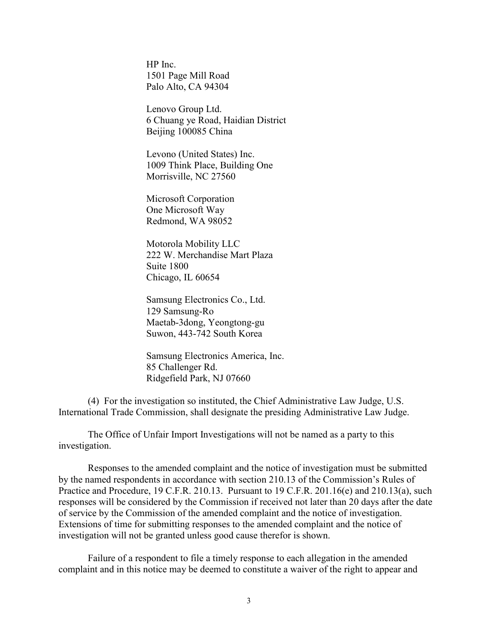HP Inc. 1501 Page Mill Road Palo Alto, CA 94304

Lenovo Group Ltd. 6 Chuang ye Road, Haidian District Beijing 100085 China

Levono (United States) Inc. 1009 Think Place, Building One Morrisville, NC 27560

Microsoft Corporation One Microsoft Way Redmond, WA 98052

Motorola Mobility LLC 222 W. Merchandise Mart Plaza Suite 1800 Chicago, IL 60654

Samsung Electronics Co., Ltd. 129 Samsung-Ro Maetab-3dong, Yeongtong-gu Suwon, 443-742 South Korea

Samsung Electronics America, Inc. 85 Challenger Rd. Ridgefield Park, NJ 07660

(4) For the investigation so instituted, the Chief Administrative Law Judge, U.S. International Trade Commission, shall designate the presiding Administrative Law Judge.

The Office of Unfair Import Investigations will not be named as a party to this investigation.

Responses to the amended complaint and the notice of investigation must be submitted by the named respondents in accordance with section 210.13 of the Commission's Rules of Practice and Procedure, 19 C.F.R. 210.13. Pursuant to 19 C.F.R. 201.16(e) and 210.13(a), such responses will be considered by the Commission if received not later than 20 days after the date of service by the Commission of the amended complaint and the notice of investigation. Extensions of time for submitting responses to the amended complaint and the notice of investigation will not be granted unless good cause therefor is shown.

Failure of a respondent to file a timely response to each allegation in the amended complaint and in this notice may be deemed to constitute a waiver of the right to appear and